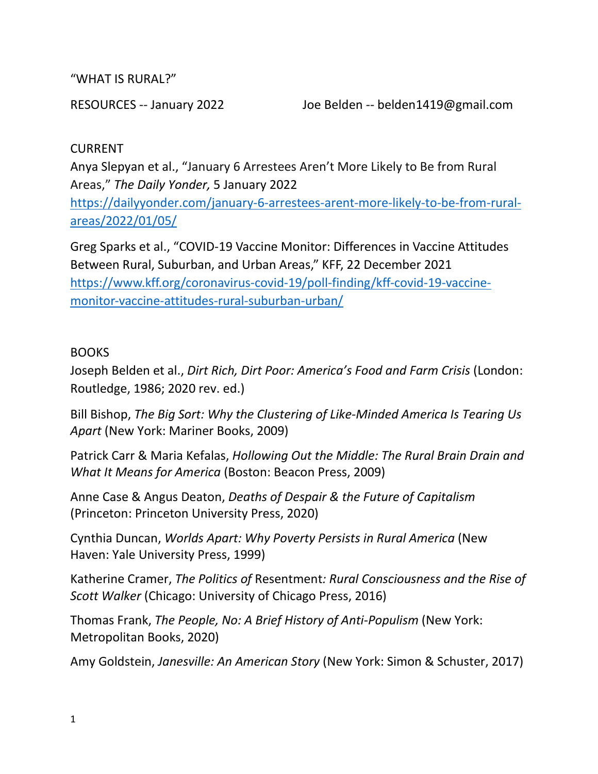"WHAT IS RURAL?"

RESOURCES -- January 2022 Joe Belden -- belden1419@gmail.com

## CURRENT

Anya Slepyan et al., "January 6 Arrestees Aren't More Likely to Be from Rural Areas," *The Daily Yonder,* 5 January 2022

[https://dailyyonder.com/january-6-arrestees-arent-more-likely-to-be-from-rural](https://dailyyonder.com/january-6-arrestees-arent-more-likely-to-be-from-rural-areas/2022/01/05/)[areas/2022/01/05/](https://dailyyonder.com/january-6-arrestees-arent-more-likely-to-be-from-rural-areas/2022/01/05/)

Greg Sparks et al., "COVID-19 Vaccine Monitor: Differences in Vaccine Attitudes Between Rural, Suburban, and Urban Areas," KFF, 22 December 2021 [https://www.kff.org/coronavirus-covid-19/poll-finding/kff-covid-19-vaccine](https://www.kff.org/coronavirus-covid-19/poll-finding/kff-covid-19-vaccine-monitor-vaccine-attitudes-rural-suburban-urban/)[monitor-vaccine-attitudes-rural-suburban-urban/](https://www.kff.org/coronavirus-covid-19/poll-finding/kff-covid-19-vaccine-monitor-vaccine-attitudes-rural-suburban-urban/)

## BOOKS

Joseph Belden et al., *Dirt Rich, Dirt Poor: America's Food and Farm Crisis* (London: Routledge, 1986; 2020 rev. ed.)

Bill Bishop, *The Big Sort: Why the Clustering of Like-Minded America Is Tearing Us Apart* (New York: Mariner Books, 2009)

Patrick Carr & Maria Kefalas, *Hollowing Out the Middle: The Rural Brain Drain and What It Means for America* (Boston: Beacon Press, 2009)

Anne Case & Angus Deaton, *Deaths of Despair & the Future of Capitalism*  (Princeton: Princeton University Press, 2020)

Cynthia Duncan, *Worlds Apart: Why Poverty Persists in Rural America* (New Haven: Yale University Press, 1999)

Katherine Cramer, *The Politics of* Resentment*: Rural Consciousness and the Rise of Scott Walker* (Chicago: University of Chicago Press, 2016)

Thomas Frank, *The People, No: A Brief History of Anti-Populism* (New York: Metropolitan Books, 2020)

Amy Goldstein, *Janesville: An American Story* (New York: Simon & Schuster, 2017)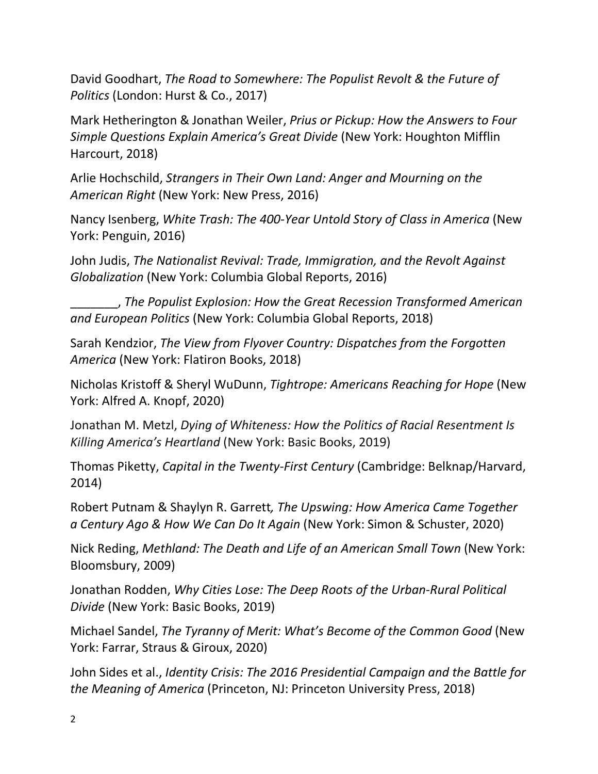David Goodhart, *The Road to Somewhere: The Populist Revolt & the Future of Politics* (London: Hurst & Co., 2017)

Mark Hetherington & Jonathan Weiler, *Prius or Pickup: How the Answers to Four Simple Questions Explain America's Great Divide* (New York: Houghton Mifflin Harcourt, 2018)

Arlie Hochschild, *Strangers in Their Own Land: Anger and Mourning on the American Right* (New York: New Press, 2016)

Nancy Isenberg, *White Trash: The 400-Year Untold Story of Class in America* (New York: Penguin, 2016)

John Judis, *The Nationalist Revival: Trade, Immigration, and the Revolt Against Globalization* (New York: Columbia Global Reports, 2016)

\_\_\_\_\_\_\_, *The Populist Explosion: How the Great Recession Transformed American and European Politics* (New York: Columbia Global Reports, 2018)

Sarah Kendzior, *The View from Flyover Country: Dispatches from the Forgotten America* (New York: Flatiron Books, 2018)

Nicholas Kristoff & Sheryl WuDunn, *Tightrope: Americans Reaching for Hope* (New York: Alfred A. Knopf, 2020)

Jonathan M. Metzl, *Dying of Whiteness: How the Politics of Racial Resentment Is Killing America's Heartland* (New York: Basic Books, 2019)

Thomas Piketty, *Capital in the Twenty-First Century* (Cambridge: Belknap/Harvard, 2014)

Robert Putnam & Shaylyn R. Garrett*, The Upswing: How America Came Together a Century Ago & How We Can Do It Again* (New York: Simon & Schuster, 2020)

Nick Reding, *Methland: The Death and Life of an American Small Town* (New York: Bloomsbury, 2009)

Jonathan Rodden, *Why Cities Lose: The Deep Roots of the Urban-Rural Political Divide* (New York: Basic Books, 2019)

Michael Sandel, *The Tyranny of Merit: What's Become of the Common Good* (New York: Farrar, Straus & Giroux, 2020)

John Sides et al., *Identity Crisis: The 2016 Presidential Campaign and the Battle for the Meaning of America* (Princeton, NJ: Princeton University Press, 2018)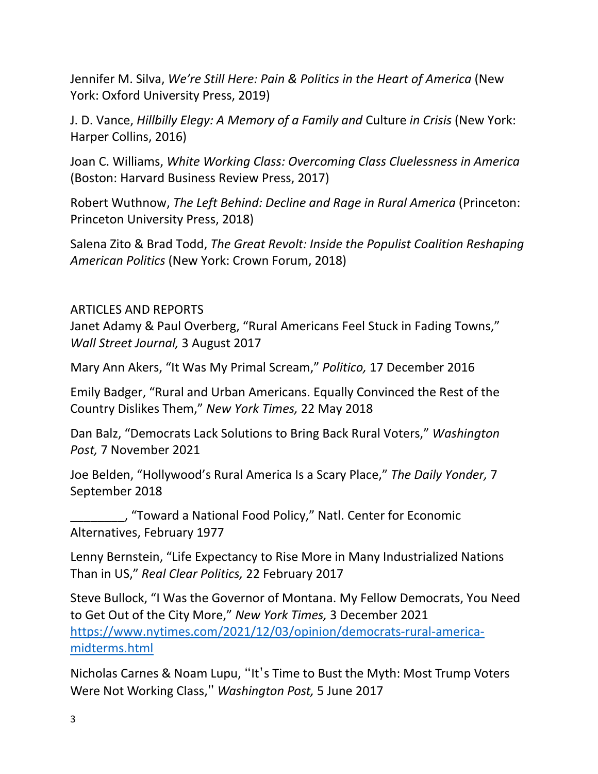Jennifer M. Silva, *We're Still Here: Pain & Politics in the Heart of America* (New York: Oxford University Press, 2019)

J. D. Vance, *Hillbilly Elegy: A Memory of a Family and* Culture *in Crisis* (New York: Harper Collins, 2016)

Joan C. Williams, *White Working Class: Overcoming Class Cluelessness in America*  (Boston: Harvard Business Review Press, 2017)

Robert Wuthnow, *The Left Behind: Decline and Rage in Rural America* (Princeton: Princeton University Press, 2018)

Salena Zito & Brad Todd, *The Great Revolt: Inside the Populist Coalition Reshaping American Politics* (New York: Crown Forum, 2018)

## ARTICLES AND REPORTS

Janet Adamy & Paul Overberg, "Rural Americans Feel Stuck in Fading Towns," *Wall Street Journal,* 3 August 2017

Mary Ann Akers, "It Was My Primal Scream," *Politico,* 17 December 2016

Emily Badger, "Rural and Urban Americans. Equally Convinced the Rest of the Country Dislikes Them," *New York Times,* 22 May 2018

Dan Balz, "Democrats Lack Solutions to Bring Back Rural Voters," *Washington Post,* 7 November 2021

Joe Belden, "Hollywood's Rural America Is a Scary Place," *The Daily Yonder,* 7 September 2018

\_\_\_\_\_\_\_\_, "Toward a National Food Policy," Natl. Center for Economic Alternatives, February 1977

Lenny Bernstein, "Life Expectancy to Rise More in Many Industrialized Nations Than in US," *Real Clear Politics,* 22 February 2017

Steve Bullock, "I Was the Governor of Montana. My Fellow Democrats, You Need to Get Out of the City More," *New York Times,* 3 December 2021 [https://www.nytimes.com/2021/12/03/opinion/democrats-rural-america](https://www.nytimes.com/2021/12/03/opinion/democrats-rural-america-midterms.html)[midterms.html](https://www.nytimes.com/2021/12/03/opinion/democrats-rural-america-midterms.html)

Nicholas Carnes & Noam Lupu, "It's Time to Bust the Myth: Most Trump Voters Were Not Working Class," *Washington Post,* 5 June 2017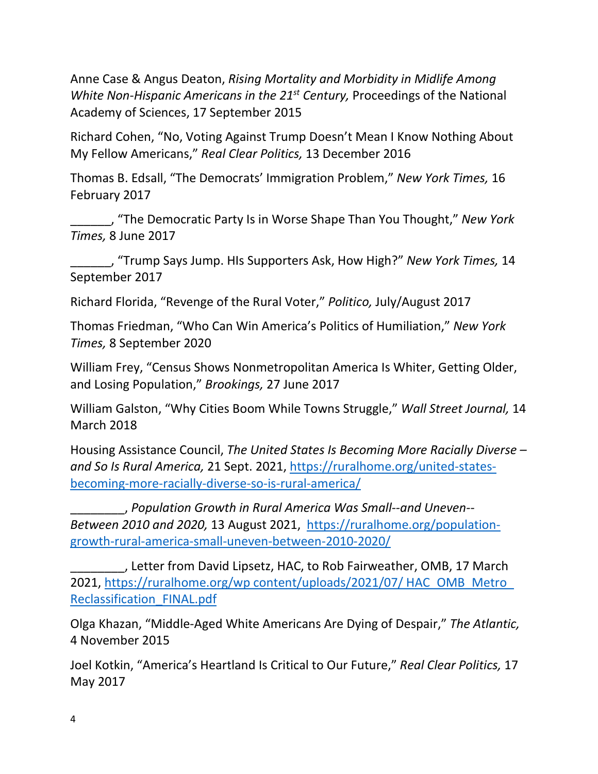Anne Case & Angus Deaton, *Rising Mortality and Morbidity in Midlife Among White Non-Hispanic Americans in the 21st Century,* Proceedings of the National Academy of Sciences, 17 September 2015

Richard Cohen, "No, Voting Against Trump Doesn't Mean I Know Nothing About My Fellow Americans," *Real Clear Politics,* 13 December 2016

Thomas B. Edsall, "The Democrats' Immigration Problem," *New York Times,* 16 February 2017

\_\_\_\_\_\_, "The Democratic Party Is in Worse Shape Than You Thought," *New York Times,* 8 June 2017

\_\_\_\_\_\_, "Trump Says Jump. HIs Supporters Ask, How High?" *New York Times,* 14 September 2017

Richard Florida, "Revenge of the Rural Voter," *Politico,* July/August 2017

Thomas Friedman, "Who Can Win America's Politics of Humiliation," *New York Times,* 8 September 2020

William Frey, "Census Shows Nonmetropolitan America Is Whiter, Getting Older, and Losing Population," *Brookings,* 27 June 2017

William Galston, "Why Cities Boom While Towns Struggle," *Wall Street Journal,* 14 March 2018

Housing Assistance Council, *The United States Is Becoming More Racially Diverse – and So Is Rural America,* 21 Sept. 2021, [https://ruralhome.org/united-states](https://ruralhome.org/united-states-becoming-more-racially-diverse-so-is-rural-america/)[becoming-more-racially-diverse-so-is-rural-america/](https://ruralhome.org/united-states-becoming-more-racially-diverse-so-is-rural-america/)

\_\_\_\_\_\_\_\_, *Population Growth in Rural America Was Small--and Uneven-- Between 2010 and 2020,* 13 August 2021, [https://ruralhome.org/population](https://ruralhome.org/population-growth-rural-america-small-uneven-between-2010-2020/)[growth-rural-america-small-uneven-between-2010-2020/](https://ruralhome.org/population-growth-rural-america-small-uneven-between-2010-2020/)

\_\_\_\_\_\_\_\_, Letter from David Lipsetz, HAC, to Rob Fairweather, OMB, 17 March 2021, [https://ruralhome.org/wp content/uploads/2021/07/ HAC\\_OMB\\_Metro\\_](https://ruralhome.org/wp%20content/uploads/2021/07/%20HAC_OMB_Metro_%20Reclassification_FINAL.pdf)  [Reclassification\\_FINAL.pdf](https://ruralhome.org/wp%20content/uploads/2021/07/%20HAC_OMB_Metro_%20Reclassification_FINAL.pdf)

Olga Khazan, "Middle-Aged White Americans Are Dying of Despair," *The Atlantic,*  4 November 2015

Joel Kotkin, "America's Heartland Is Critical to Our Future," *Real Clear Politics,* 17 May 2017